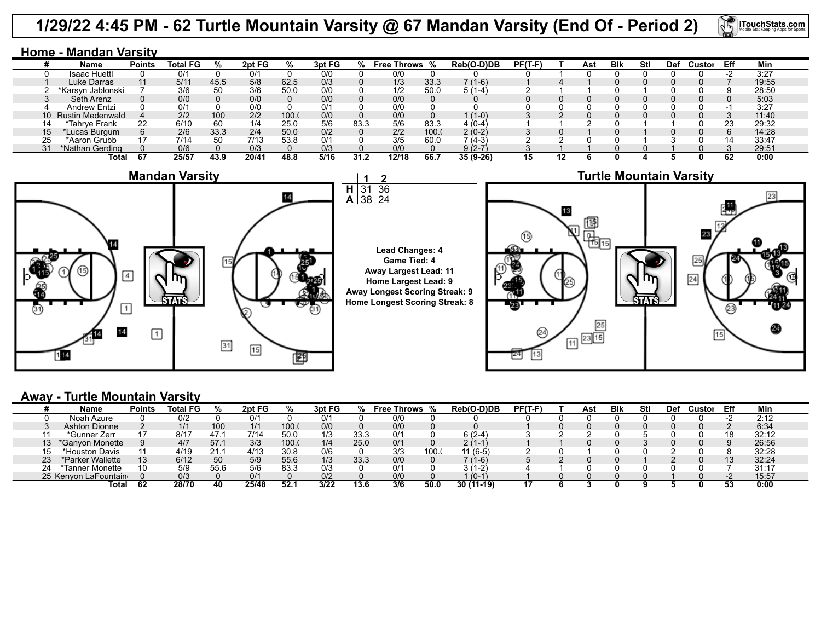## **1/29/22 4:45 PM - 62 Turtle Mountain Varsity @ 67 Mandan Varsity (End Of - Period 2)**

31 38

**2** 36 24



| Name                | <b>Points</b> | <b>Total FG</b>    |      | 2pt FG |      | 3pt FG |      | <b>Free Throws %</b> |       | Reb(O-D)DB         | $PF(T-F)$ | Ast | <b>B</b> lk | Stl | <b>Def</b> | Custor | Eff | Min   |
|---------------------|---------------|--------------------|------|--------|------|--------|------|----------------------|-------|--------------------|-----------|-----|-------------|-----|------------|--------|-----|-------|
| Isaac Huettl        |               | 0/1                |      | 0/1    |      | 0/0    |      | 0/0                  |       |                    |           |     |             |     |            |        |     | 3:27  |
| Luke Darras         |               | $5/1$ <sup>-</sup> | 45.5 | 5/8    | 62.5 | 0/3    |      | 1/3                  | 33.3  | 7 (1-6)            |           |     |             |     |            |        |     | 19:55 |
| *Karsvn Jablonski   |               | 3/6                |      | 3/6    | 50.0 | 0/0    |      | 1/2                  | 50.0  | $1-4$              |           |     |             |     |            |        |     | 28:50 |
| Seth Arenz          |               | 0/0                |      | 0/0    |      | 0/0    |      | 0/0                  |       |                    |           |     |             |     |            |        |     | 5:03  |
| Andrew Entzi        |               | 0/1                |      | 0/0    |      | 0/1    |      | 0/0                  |       |                    |           |     |             |     |            |        |     | 3:27  |
| 10 Rustin Medenwald |               | 2/2                | 100  | 2/2    | 100. | 0/0    |      | 0/0                  |       | $(1-0)$            |           |     |             |     |            |        |     | 11:40 |
| *Tahrve Frank       | 22            | 6/10               | 60   | 1/4    | 25.0 | 5/6    | 83.3 | 5/6                  | 83.3  | 4 (0-4             |           |     |             |     |            |        | 23  | 29:32 |
| Lucas Burgum        |               | 2/6                | 33.3 | 2/4    | 50.0 | 0/2    |      | 2/2                  | 100.1 | $2(0-2)$           |           |     |             |     |            |        |     | 14:28 |
| *Aaron Grubb        |               | 7/14               | 50   | 7/13   | 53.8 | 0/1    |      | 3/5                  | 60.0  | <sup>7</sup> (4-3) |           |     |             |     |            |        | 14  | 33:47 |
| *Nathan Gerding     |               | 0/6                |      | 0/3    |      | 0/3    |      | 0/0                  |       | 9 (2-7             |           |     |             |     |            |        |     | 29:51 |
| Total               |               | 25/57              | 43.9 | 20/4′  | 48.8 | 5/16   | 31.2 | 12/18                | 66.   | $35(9-26)$         | 15        |     |             |     |            |        | 62  | 0:00  |





**iTouchStats.com** 



## **Away - Turtle Mountain Varsity**

|          | Name                 | <b>Points</b> | <b>Total FG</b> |      | 2pt FG      | %    | 3pt FG |      | <b>Free Throws</b> |       | Reb(O-D)DB             | $PF(T-F)$ | Ast | <b>B</b> lk | Stl | Def | ≿ustor | Eff | Min   |  |
|----------|----------------------|---------------|-----------------|------|-------------|------|--------|------|--------------------|-------|------------------------|-----------|-----|-------------|-----|-----|--------|-----|-------|--|
|          | Noah Azure           |               | 0/2             |      | 0/1         |      |        |      | 0/0                |       |                        |           |     |             |     |     |        |     | 2:12  |  |
|          | <b>Ashton Dionne</b> |               | 1/1             | 100  | 1/1         | 100. | 0/0    |      | 0/0                |       |                        |           |     |             |     |     |        |     | 6:34  |  |
|          | *Gunner Zerr         |               | 8/17            |      | 7/14        | 50.0 |        | 33.3 | 0/1                |       | $6(2-4)$               |           |     |             |     |     |        |     | 32:12 |  |
| ت ا      | *Ganvon Monette      |               | 4/7             | 57.  | 3/3         | 100. | 1/4    | 25.0 | 0/1                |       | 2 <sup>c</sup><br>11-1 |           |     |             |     |     |        |     | 26:56 |  |
|          | *Houston Davis       |               | 4/19            | 21.1 | 4/13        | 30.8 | 0/6    |      | 3/3                | 100.0 | $11(6-5)$              |           |     |             |     |     |        |     | 32:28 |  |
| ົດ<br>دے | *Parker Wallette     | 13            | 6/12            | 50   | 5/9         | 55.6 | 1/3    | 33.3 | 0/0                |       | 7 (1-6)                |           |     |             |     |     |        |     | 32:24 |  |
| 24       | *Tanner Monette      | 10            | 5/9             | 55.6 | 5/6         | 83.3 | 0/3    |      | 0/1                |       | $-2^y$                 |           |     |             |     |     |        |     | 31:17 |  |
|          | 25 Kenvon LaFountain |               | 0/3             |      | $\Omega$ /1 |      | በ/2    |      | 0/0                |       | $0 - 1$                |           |     |             |     |     |        |     | 15:57 |  |
|          | Total                | 62            | 28/70           | 40   | 25/48       | 52.7 | 3/22   | 13.6 | 3/6                | 50.0  | 30 (1<br>$1 - 19$      |           |     |             |     |     |        | 53  | 0:00  |  |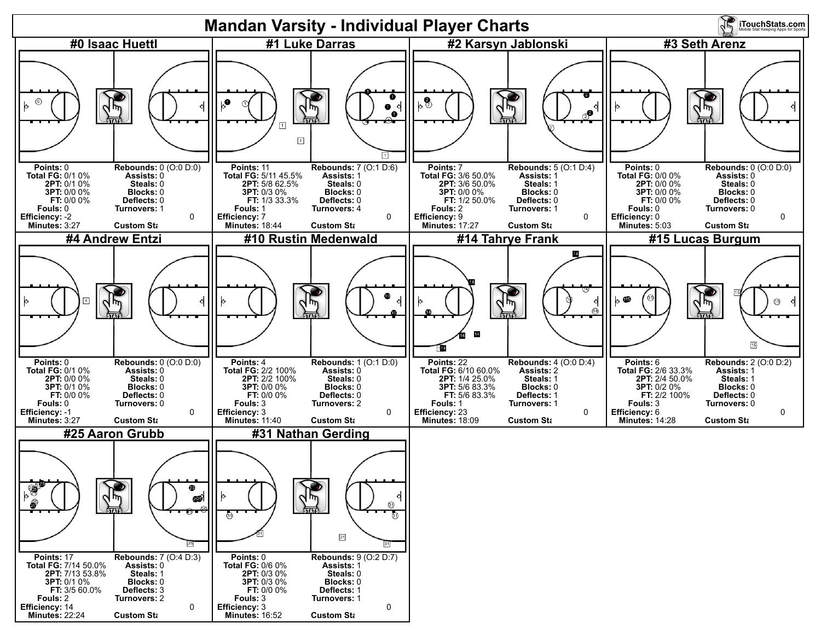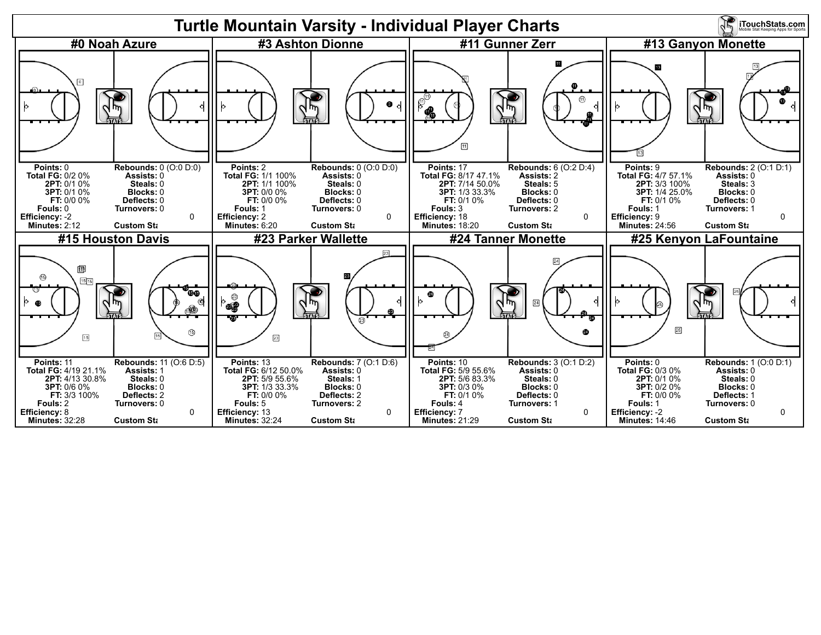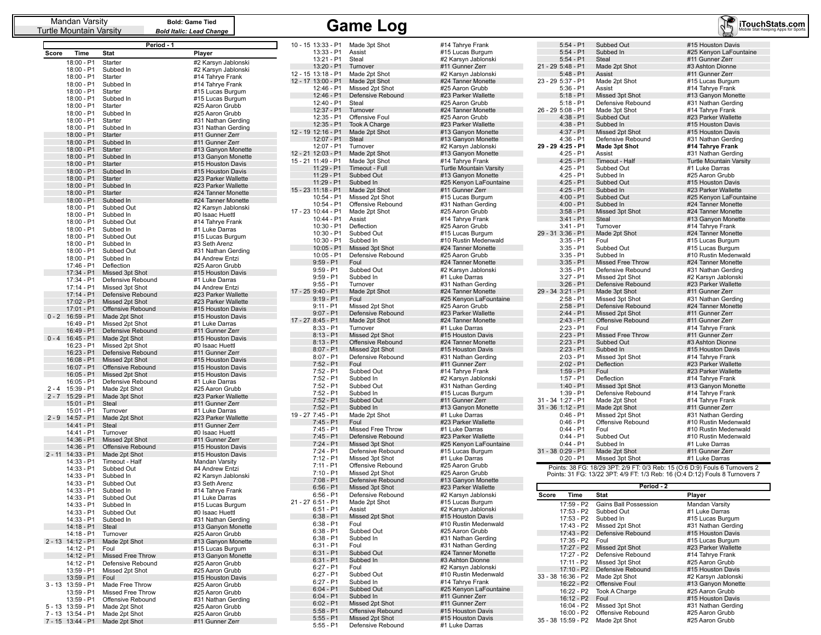| Mandan Varsity<br>Turtle Mountain Varsity            |                                    | <b>Bold: Game Tied</b><br><b>Bold Italic: Lead Change</b> |                                          | <b>Game Log</b>                      |                                              |                                  |                                      | iTouchStats.com                                                              |
|------------------------------------------------------|------------------------------------|-----------------------------------------------------------|------------------------------------------|--------------------------------------|----------------------------------------------|----------------------------------|--------------------------------------|------------------------------------------------------------------------------|
|                                                      | Period - 1                         |                                                           | 10 - 15 13:33 - P1 Made 3pt Shot         |                                      | #14 Tahrye Frank                             | $5:54 - P1$                      | Subbed Out                           | #15 Houston Davis                                                            |
| Time<br>Score                                        | Stat                               | Player                                                    | 13:33 - P1                               | Assist                               | #15 Lucas Burgum                             | $5:54 - P1$                      | Subbed In                            | #25 Kenyon LaFountaine                                                       |
| 18:00 - P1                                           | Starter                            | #2 Karsyn Jablonski                                       | 13:21 - P1 Steal                         |                                      | #2 Karsyn Jablonski                          | $5:54 - P1$                      | Steal                                | #11 Gunner Zerr                                                              |
| 18:00 - P1                                           | Subbed In                          | #2 Karsyn Jablonski                                       | 13:20 - P1                               | Turnover                             | #11 Gunner Zerr                              | 21 - 29 5:48 - P1                | Made 2pt Shot                        | #3 Ashton Dionne                                                             |
| 18:00 - P1                                           | Starter                            | #14 Tahrye Frank                                          | 12 - 15 13:18 - P1                       | Made 2pt Shot                        | #2 Karsyn Jablonski                          | $5:48 - P1$                      | Assist                               | #11 Gunner Zerr                                                              |
| 18:00 - P1                                           | Subbed In                          | #14 Tahrye Frank                                          | 12 - 17 13:00 - P1 Made 2pt Shot         |                                      | #24 Tanner Monette                           | 23 - 29 5:37 - P1                | Made 2pt Shot                        | #15 Lucas Burgum                                                             |
| 18:00 - P1                                           | Starter                            | #15 Lucas Burgum                                          | 12:46 - P1<br>$12:46 - P1$               | Missed 2pt Shot<br>Defensive Rebound | #25 Aaron Grubb<br>#23 Parker Wallette       | $5:36 - P1$<br>$5:18 - P1$       | Assist                               | #14 Tahrye Frank                                                             |
| 18:00 - P1                                           | Subbed In                          | #15 Lucas Burgum                                          | 12:40 - P1                               | Steal                                | #25 Aaron Grubb                              | $5:18 - P1$                      | Missed 3pt Shot<br>Defensive Rebound | #13 Ganyon Monette<br>#31 Nathan Gerding                                     |
| 18:00 - P1                                           | Starter                            | #25 Aaron Grubb                                           | 12:37 - P1                               | Turnover                             | #24 Tanner Monette                           | 26 - 29 5:08 - P1                | Made 3pt Shot                        | #14 Tahrye Frank                                                             |
| 18:00 - P1                                           | Subbed In                          | #25 Aaron Grubb                                           | 12:35 - P1                               | Offensive Foul                       | #25 Aaron Grubb                              | $4:38 - P1$                      | Subbed Out                           | #23 Parker Wallette                                                          |
| 18:00 - P1<br>18:00 - P1                             | Starter<br>Subbed In               | #31 Nathan Gerding<br>#31 Nathan Gerding                  | $12:35 - P1$                             | <b>Took A Charge</b>                 | #23 Parker Wallette                          | $4:38 - P1$                      | Subbed In                            | #15 Houston Davis                                                            |
| 18:00 - P1                                           | Starter                            | #11 Gunner Zerr                                           | 12 - 19 12:16 - P1                       | Made 2pt Shot                        | #13 Ganyon Monette                           | $4:37 - P1$                      | Missed 2pt Shot                      | #15 Houston Davis                                                            |
| 18:00 - P1                                           | Subbed In                          | #11 Gunner Zerr                                           | 12:07 - P1                               | Steal                                | #13 Ganyon Monette                           | 4:36 - P1                        | Defensive Rebound                    | #31 Nathan Gerding                                                           |
| 18:00 - P1 Starter                                   |                                    | #13 Ganyon Monette                                        | 12:07 - P1                               | Turnover                             | #2 Karsyn Jablonski                          | 29 29 4:25 P1                    | Made 3pt Shot                        | #14 Tahrye Frank                                                             |
| 18:00 - P1 Subbed In                                 |                                    | #13 Ganyon Monette                                        | 12 - 21 12:03 - P1<br>15 - 21 11:49 - P1 | Made 2pt Shot<br>Made 3pt Shot       | #13 Ganyon Monette<br>#14 Tahrye Frank       | $4:25 - P1$<br>$4:25 - P1$       | Assist<br>Timeout - Half             | #31 Nathan Gerding<br><b>Turtle Mountain Varsity</b>                         |
| 18:00 - P1                                           | Starter                            | #15 Houston Davis                                         | 11:29 - P1                               | Timeout - Full                       | <b>Turtle Mountain Varsity</b>               | $4:25 - P1$                      | Subbed Out                           | #1 Luke Darras                                                               |
| 18:00 - P1 Subbed In                                 |                                    | #15 Houston Davis                                         | 11:29 - P1                               | Subbed Out                           | #13 Ganyon Monette                           | $4:25 - P1$                      | Subbed In                            | #25 Aaron Grubb                                                              |
| 18:00 - P1                                           | Starter                            | #23 Parker Wallette                                       | 11:29 - P1                               | Subbed In                            | #25 Kenyon LaFountaine                       | $4:25 - P1$                      | Subbed Out                           | #15 Houston Davis                                                            |
| 18:00 - P1<br>18:00 - P1 Starter                     | Subbed In                          | #23 Parker Wallette<br>#24 Tanner Monette                 | 15 - 23 11:18 - P1                       | Made 2pt Shot                        | #11 Gunner Zerr                              | $4:25 - P1$                      | Subbed In                            | #23 Parker Wallette                                                          |
| 18:00 - P1 Subbed In                                 |                                    | #24 Tanner Monette                                        | 10:54 - P1                               | Missed 2pt Shot                      | #15 Lucas Burgum                             | $4:00 - P1$                      | Subbed Out                           | #25 Kenyon LaFountaine                                                       |
| 18:00 - P1                                           | Subbed Out                         | #2 Karsyn Jablonski                                       | $10:54 - P1$                             | Offensive Rebound                    | #31 Nathan Gerding                           | $4:00 - P1$                      | Subbed In                            | #24 Tanner Monette                                                           |
| 18:00 - P1                                           | Subbed In                          | #0 Isaac Huettl                                           | 17 - 23 10:44 - P1                       | Made 2pt Shot                        | #25 Aaron Grubb                              | $3:58 - P1$                      | Missed 3pt Shot                      | #24 Tanner Monette                                                           |
| 18:00 - P1                                           | Subbed Out                         | #14 Tahrye Frank                                          | 10:44 - P1                               | Assist                               | #14 Tahrye Frank                             | $3:41 - P1$                      | Steal                                | #13 Ganyon Monette                                                           |
| 18:00 - P1                                           | Subbed In                          | #1 Luke Darras                                            | 10:30 - P1<br>10:30 - P1                 | Deflection<br>Subbed Out             | #25 Aaron Grubb<br>#15 Lucas Burgum          | $3:41 - P1$<br>29 - 31 3:36 - P1 | Turnover<br>Made 2pt Shot            | #14 Tahrye Frank<br>#24 Tanner Monette                                       |
| 18:00 - P1                                           | Subbed Out                         | #15 Lucas Burgum                                          | 10:30 - P1                               | Subbed In                            | #10 Rustin Medenwald                         | $3:35 - P1$                      | Foul                                 | #15 Lucas Burgum                                                             |
| 18:00 - P1                                           | Subbed In                          | #3 Seth Arenz                                             | $10:05 - P1$                             | Missed 3pt Shot                      | #24 Tanner Monette                           | $3:35 - P1$                      | Subbed Out                           | #15 Lucas Burgum                                                             |
| 18:00 - P1<br>18:00 - P1                             | Subbed Out<br>Subbed In            | #31 Nathan Gerding<br>#4 Andrew Entzi                     | $10:05 - P1$                             | Defensive Rebound                    | #25 Aaron Grubb                              | $3:35 - P1$                      | Subbed In                            | #10 Rustin Medenwald                                                         |
| 17:46 - P1                                           | Deflection                         | #25 Aaron Grubb                                           | $9:59 - P1$                              | Foul                                 | #24 Tanner Monette                           | $3:35 - P1$                      | <b>Missed Free Throw</b>             | #24 Tanner Monette                                                           |
| $17:34 - P1$                                         | Missed 3pt Shot                    | #15 Houston Davis                                         | $9:59 - P1$                              | Subbed Out                           | #2 Karsyn Jablonski                          | $3:35 - P1$                      | Defensive Rebound                    | #31 Nathan Gerding                                                           |
| 17:34 - P1                                           | Defensive Rebound                  | #1 Luke Darras                                            | $9:59 - P1$                              | Subbed In                            | #1 Luke Darras                               | $3:27 - P1$                      | Missed 2pt Shot                      | #2 Karsyn Jablonski                                                          |
| 17:14 - P1                                           | Missed 3pt Shot                    | #4 Andrew Entzi                                           | $9:55 - P1$                              | Turnover                             | #31 Nathan Gerding                           | $3:26 - P1$                      | Defensive Rebound                    | #23 Parker Wallette                                                          |
| 17:14 - P1                                           | Defensive Rebound                  | #23 Parker Wallette                                       | 17 - 25 9:40 - P1<br>$9:19 - P1$         | Made 2pt Shot<br>Foul                | #24 Tanner Monette<br>#25 Kenyon LaFountaine | 29 - 34 3:21 - P1<br>$2:58 - P1$ | Made 3pt Shot<br>Missed 3pt Shot     | #11 Gunner Zerr<br>#31 Nathan Gerding                                        |
|                                                      | 17:02 - P1 Missed 2pt Shot         | #23 Parker Wallette                                       | $9:11 - P1$                              | Missed 2pt Shot                      | #25 Aaron Grubb                              | $2:58 - P1$                      | Defensive Rebound                    | #24 Tanner Monette                                                           |
| 17:01 - P1                                           | Offensive Rebound                  | #15 Houston Davis                                         | $9:07 - P1$                              | Defensive Rebound                    | #23 Parker Wallette                          | $2:44 - P1$                      | Missed 2pt Shot                      | #11 Gunner Zerr                                                              |
| $0 - 2$ 16:59 - P1<br>16:49 - P1                     | Made 2pt Shot<br>Missed 2pt Shot   | #15 Houston Davis<br>#1 Luke Darras                       | 17 - 27 8:45 - P1                        | Made 2pt Shot                        | #24 Tanner Monette                           | $2:43 - P1$                      | Offensive Rebound                    | #11 Gunner Zerr                                                              |
| 16:49 - P1                                           | Defensive Rebound                  | #11 Gunner Zerr                                           | $8:33 - P1$                              | Turnover                             | #1 Luke Darras                               | $2:23 - P1$                      | Foul                                 | #14 Tahrye Frank                                                             |
| $0 - 4$ 16:45 - P1                                   | Made 2pt Shot                      | #15 Houston Davis                                         | $8:13 - P1$                              | Missed 2pt Shot                      | #15 Houston Davis                            | $2:23 - P1$                      | <b>Missed Free Throw</b>             | #11 Gunner Zerr                                                              |
| 16:23 - P1                                           | Missed 2pt Shot                    | #0 Isaac Huettl                                           | $8:13 - P1$                              | Offensive Rebound                    | #24 Tanner Monette                           | $2:23 - P1$                      | Subbed Out                           | #3 Ashton Dionne                                                             |
| 16:23 - P1                                           | Defensive Rebound                  | #11 Gunner Zerr                                           | $8:07 - P1$                              | Missed 2pt Shot                      | #15 Houston Davis                            | $2:23 - P1$                      | Subbed In                            | #15 Houston Davis                                                            |
| $16:08 - P1$                                         | Missed 2pt Shot                    | #15 Houston Davis                                         | $8:07 - P1$<br>$7:52 - P1$               | Defensive Rebound<br>Foul            | #31 Nathan Gerding<br>#11 Gunner Zerr        | $2:03 - P1$<br>$2:02 - P1$       | Missed 3pt Shot<br>Deflection        | #14 Tahrye Frank<br>#23 Parker Wallette                                      |
| 16:07 - P1                                           | Offensive Rebound                  | #15 Houston Davis                                         | $7:52 - P1$                              | Subbed Out                           | #14 Tahrye Frank                             | $1:59 - P1$                      | Foul                                 | #23 Parker Wallette                                                          |
| 16:05 - P1                                           | Missed 2pt Shot                    | #15 Houston Davis                                         | $7:52 - P1$                              | Subbed In                            | #2 Karsyn Jablonski                          | $1:57 - P1$                      | Deflection                           | #14 Tahrye Frank                                                             |
| $16:05 - P1$<br>$2 - 4$ 15:39 - P1                   | Defensive Rebound<br>Made 2pt Shot | #1 Luke Darras<br>#25 Aaron Grubb                         | $7:52 - P1$                              | Subbed Out                           | #31 Nathan Gerding                           | $1:40 - P1$                      | Missed 3pt Shot                      | #13 Ganyon Monette                                                           |
| 2 - 7 15:29 - P1                                     | Made 3pt Shot                      | #23 Parker Wallette                                       | 7:52 - P1                                | Subbed In                            | #15 Lucas Burgum                             | $1:39 - P1$                      | Defensive Rebound                    | #14 Tahrye Frank                                                             |
| 15:01 - P1                                           | Steal                              | #11 Gunner Zerr                                           | $7:52 - P1$                              | Subbed Out                           | #11 Gunner Zerr                              | 31 - 34 1:27 - P1                | Made 2pt Shot                        | #14 Tahrye Frank                                                             |
| 15:01 - P1                                           | Turnover                           | #1 Luke Darras                                            | $7:52 - P1$                              | Subbed In                            | #13 Ganyon Monette                           | 31 - 36 1:12 - P1                | Made 2pt Shot                        | #11 Gunner Zerr                                                              |
| 2 - 9 14:57 - P1                                     | Made 2pt Shot                      | #23 Parker Wallette                                       | 19 - 27 7:45 - P1                        | Made 2pt Shot<br>Foul                | #1 Luke Darras                               | $0:46 - P1$<br>$0:46 - P1$       | Missed 2pt Shot                      | #31 Nathan Gerding                                                           |
| 14:41 - P1                                           | Steal                              | #11 Gunner Zerr                                           | $7:45 - P1$<br>$7:45 - P1$               | Missed Free Throw                    | #23 Parker Wallette<br>#1 Luke Darras        | $0:44 - P1$                      | Offensive Rebound<br>Foul            | #10 Rustin Medenwald<br>#10 Rustin Medenwald                                 |
| 14:41 - P1                                           | Turnover                           | #0 Isaac Huettl                                           | $7:45 - P1$                              | Defensive Rebound                    | #23 Parker Wallette                          | $0:44 - P1$                      | Subbed Out                           | #10 Rustin Medenwald                                                         |
| 14:36 - P1                                           | Missed 2pt Shot                    | #11 Gunner Zerr                                           | $7:24 - P1$                              | Missed 3pt Shot                      | #25 Kenyon LaFountaine                       | $0:44 - P1$                      | Subbed In                            | #1 Luke Darras                                                               |
| 14:36 - P1<br>2 - 11 14:33 - P1                      | Offensive Rebound<br>Made 2pt Shot | #15 Houston Davis<br>#15 Houston Davis                    | 7:24 - P1                                | Defensive Rebound                    | #15 Lucas Burgum                             | 31 - 38 0:29 - P1                | Made 2pt Shot                        | #11 Gunner Zerr                                                              |
| 14:33 - P1                                           | Timeout - Half                     | <b>Mandan Varsity</b>                                     | $7:12 - P1$                              | Missed 3pt Shot                      | #1 Luke Darras                               | $0:20 - P1$                      | Missed 3pt Shot                      | #1 Luke Darras                                                               |
| 14:33 - P1                                           | Subbed Out                         | #4 Andrew Entzi                                           | $7:11 - P1$                              | Offensive Rebound                    | #25 Aaron Grubb                              |                                  |                                      | Points: 38 FG: 18/29 3PT: 2/9 FT: 0/3 Reb: 15 (O:6 D:9) Fouls 6 Turnovers 2  |
| 14:33 - P1 Subbed In                                 |                                    | #2 Karsyn Jablonski                                       | $7:10 - P1$                              | Missed 2pt Shot                      | #25 Aaron Grubb                              |                                  |                                      | Points: 31 FG: 13/22 3PT: 4/9 FT: 1/3 Reb: 16 (0:4 D:12) Fouls 8 Turnovers 7 |
| 14:33 - P1 Subbed Out                                |                                    | #3 Seth Arenz                                             | $7:08 - P1$                              | Defensive Rebound                    | #13 Ganyon Monette<br>#23 Parker Wallette    |                                  | Period - 2                           |                                                                              |
| 14:33 - P1                                           | Subbed In                          | #14 Tahrye Frank                                          | $6:56 - P1$<br>$6:56 - P1$               | Missed 3pt Shot<br>Defensive Rebound | #2 Karsyn Jablonski                          | Time<br>Score                    | Stat                                 | Player                                                                       |
| 14:33 - P1 Subbed Out                                |                                    | #1 Luke Darras                                            | 21 - 27 6:51 - P1                        | Made 2pt Shot                        | #15 Lucas Burgum                             | 17:59 - P2                       | <b>Gains Ball Possession</b>         | Mandan Varsitv                                                               |
| 14:33 - P1 Subbed In                                 |                                    | #15 Lucas Burgum                                          | $6:51 - P1$                              | Assist                               | #2 Karsyn Jablonski                          | 17:53 - P2                       | Subbed Out                           | #1 Luke Darras                                                               |
| 14:33 - P1<br>14:33 - P1 Subbed In                   | Subbed Out                         | #0 Isaac Huettl<br>#31 Nathan Gerding                     | $6:38 - P1$                              | Missed 2pt Shot                      | #15 Houston Davis                            |                                  | 17:53 - P2 Subbed In                 | #15 Lucas Burgum                                                             |
| 14:18 - P1 Steal                                     |                                    | #13 Ganyon Monette                                        | $6:38 - P1$                              | Foul                                 | #10 Rustin Medenwald                         |                                  | 17:43 - P2 Missed 2pt Shot           | #31 Nathan Gerding                                                           |
| 14:18 - P1                                           | Turnover                           | #25 Aaron Grubb                                           | $6:38 - P1$                              | Subbed Out                           | #25 Aaron Grubb                              |                                  | 17:43 - P2 Defensive Rebound         | #15 Houston Davis                                                            |
| 2 - 13 14:12 - P1 Made 2pt Shot                      |                                    | #13 Ganyon Monette                                        | $6:38 - P1$                              | Subbed In                            | #31 Nathan Gerding                           | 17:35 - P2 Foul                  |                                      | #15 Lucas Burgum                                                             |
| 14:12 - P1    Foul                                   |                                    | #15 Lucas Burgum                                          | $6:31 - P1$                              | Foul                                 | #31 Nathan Gerding                           |                                  | 17:27 - P2 Missed 2pt Shot           | #23 Parker Wallette                                                          |
|                                                      | 14:12 - P1 Missed Free Throw       | #13 Ganyon Monette                                        | $6:31 - P1$<br>$6:31 - P1$               | Subbed Out<br>Subbed In              | #24 Tanner Monette<br>#3 Ashton Dionne       |                                  | 17:27 - P2 Defensive Rebound         | #14 Tahrye Frank                                                             |
|                                                      | 14:12 - P1 Defensive Rebound       | #25 Aaron Grubb                                           | $6:27 - P1$                              | Foul                                 | #2 Karsyn Jablonski                          |                                  | 17:11 - P2 Missed 3pt Shot           | #25 Aaron Grubb                                                              |
|                                                      | 13:59 - P1 Missed 2pt Shot         | #25 Aaron Grubb                                           | $6:27 - P1$                              | Subbed Out                           | #10 Rustin Medenwald                         | 33 - 38 16:36 - P2 Made 2pt Shot | 17:10 - P2 Defensive Rebound         | #15 Houston Davis<br>#2 Karsyn Jablonski                                     |
| 13:59 - P1 Foul<br>3 - 13 13:59 - P1 Made Free Throw |                                    | #15 Houston Davis<br>#25 Aaron Grubb                      | $6:27 - P1$                              | Subbed In                            | #14 Tahrye Frank                             |                                  | 16:22 - P2 Offensive Foul            | #13 Ganyon Monette                                                           |
| 13:59 - P1                                           | Missed Free Throw                  | #25 Aaron Grubb                                           | $6:04 - P1$                              | Subbed Out                           | #25 Kenyon LaFountaine                       |                                  | 16:22 - P2 Took A Charge             | #25 Aaron Grubb                                                              |
| 13:59 - P1                                           | Offensive Rebound                  | #31 Nathan Gerding                                        | $6:04 - P1$                              | Subbed In                            | #11 Gunner Zerr                              | 16:12 - P2    Foul               |                                      | #15 Houston Davis                                                            |
| 5 - 13 13:59 - P1 Made 2pt Shot                      |                                    | #25 Aaron Grubb                                           | $6:02 - P1$                              | Missed 2pt Shot                      | #11 Gunner Zerr                              |                                  | 16:04 - P2 Missed 3pt Shot           | #31 Nathan Gerding                                                           |
| 7 - 13 13:54 - P1 Made 2pt Shot                      |                                    | #25 Aaron Grubb                                           | $5:58 - P1$                              | Offensive Rebound                    | #15 Houston Davis                            |                                  | 16:00 - P2 Offensive Rebound         | #25 Aaron Grubb                                                              |
| 7 - 15 13:44 - P1 Made 2pt Shot                      |                                    | #11 Gunner Zerr                                           | $5:55 - P1$                              | Missed 2pt Shot                      | #15 Houston Davis                            | 35 - 38 15:59 - P2 Made 2pt Shot |                                      | #25 Aaron Grubb                                                              |

 $\sim 10$ 35 - 38 15:59 - P2 Made 2pt Shot

5:55 - P1 Missed 2pt Shot #15 Houston Davis<br>5:55 - P1 Defensive Rebound #1 Luke Darras

5:55 - P1 Defensive Rebound